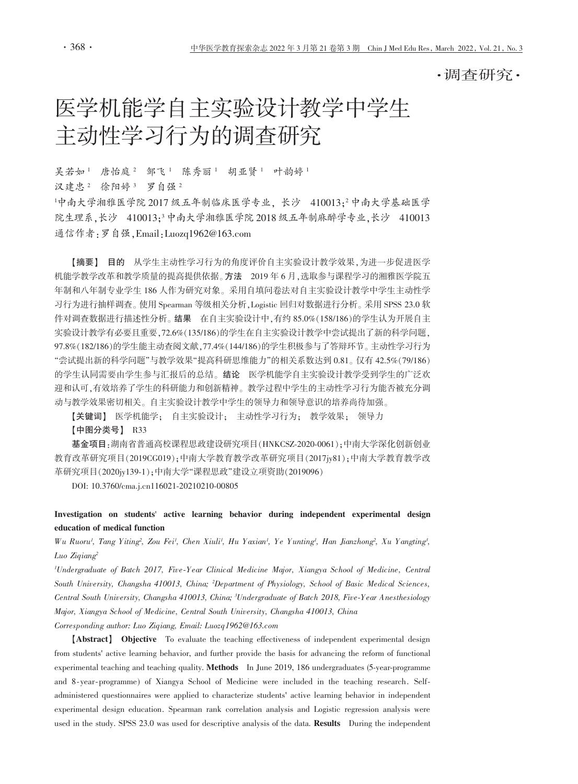・调杳研究・

# 医学机能学自主实验设计教学中学生 主动性学习行为的调查研究

吴若如1 唐怡庭2 邹飞1 陈秀丽1 胡亚贤1 叶韵婷1 汉建忠2 徐阳婷3 罗自强2

中南大学湘雅医学院2017 级五年制临床医学专业、长沙 410013:2中南大学基础医学 院生理系,长沙 410013;3中南大学湘雅医学院 2018 级五年制麻醉学专业,长沙 410013 通信作者: 罗自强, Email: Luozq1962@163.com

【摘要】 目的 从学生主动性学习行为的角度评价自主实验设计教学效果,为进一步促进医学 机能学教学改革和教学质量的提高提供依据。方法 2019年6月,选取参与课程学习的湘雅医学院五 年制和八年制专业学生186人作为研究对象。采用自填问卷法对自主实验设计教学中学生主动性学 习行为进行抽样调查。使用 Spearman 等级相关分析, Logistic 回归对数据进行分析。采用 SPSS 23.0 软 件对调查数据进行描述性分析。结果 在自主实验设计中,有约 85.0% (158/186)的学生认为开展自主 实验设计教学有必要且重要, 72.6% (135/186)的学生在自主实验设计教学中尝试提出了新的科学问题, 97.8%(182/186)的学生能主动查阅文献, 77.4%(144/186)的学生积极参与了答辩环节。主动性学习行为 "尝试提出新的科学问题"与教学效果"提高科研思维能力"的相关系数达到 0.81。仅有 42.5%(79/186) 的学生认同需要由学生参与汇报后的总结。结论 医学机能学自主实验设计教学受到学生的广泛欢 迎和认可,有效培养了学生的科研能力和创新精神。教学过程中学生的主动性学习行为能否被充分调 动与教学效果密切相关。自主实验设计教学中学生的领导力和领导意识的培养尚待加强。

【关键词】 医学机能学; 自主实验设计; 主动性学习行为; 教学效果; 领导力 【中图分类号】 R33

基金项目:湖南省普通高校课程思政建设研究项目(HNKCSZ-2020-0061):中南大学深化创新创业 教育改革研究项目(2019CG019);中南大学教育教学改革研究项目(2017jy81);中南大学教育教学改 革研究项目(2020jv139-1):中南大学"课程思政"建设立项资助(2019096)

DOI: 10.3760/cma.j.cn116021-20210210-00805

Investigation on students' active learning behavior during independent experimental design education of medical function

Wu Ruoru', Tang Yiting', Zou Fei', Chen Xiuli', Hu Yaxian', Ye Yunting', Han Jianzhong', Xu Yangting', Luo Zigiang<sup>2</sup>

<sup>1</sup>Undergraduate of Batch 2017, Five-Year Clinical Medicine Major, Xiangya School of Medicine, Central South University, Changsha 410013, China; <sup>2</sup>Department of Physiology, School of Basic Medical Sciences, Central South University, Changsha 410013, China; <sup>3</sup>Undergraduate of Batch 2018, Five-Year Anesthesiology Major, Xiangya School of Medicine, Central South University, Changsha 410013, China

Corresponding author: Luo Ziqiang, Email: Luozq1962@163.com

[Abstract] Objective To evaluate the teaching effectiveness of independent experimental design from students' active learning behavior, and further provide the basis for advancing the reform of functional experimental teaching and teaching quality. Methods In June 2019, 186 undergraduates (5-year-programme and 8-year-programme) of Xiangya School of Medicine were included in the teaching research. Selfadministered questionnaires were applied to characterize students' active learning behavior in independent experimental design education. Spearman rank correlation analysis and Logistic regression analysis were used in the study. SPSS 23.0 was used for descriptive analysis of the data. Results During the independent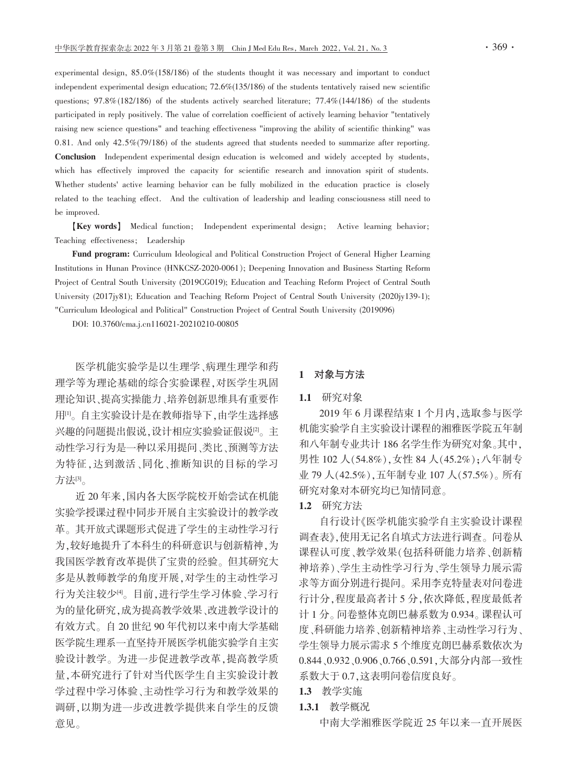experimental design,  $85.0\%(158/186)$  of the students thought it was necessary and important to conduct independent experimental design education; 72.6%(135/186) of the students tentatively raised new scientific questions; 97.8%(182/186) of the students actively searched literature; 77.4%(144/186) of the students participated in reply positively. The value of correlation coefficient of actively learning behavior "tentatively raising new science questions" and teaching effectiveness "improving the ability of scientific thinking" was 0.81. And only  $42.5\%/79/186$  of the students agreed that students needed to summarize after reporting. **Conclusion** Independent experimental design education is welcomed and widely accepted by students, which has effectively improved the capacity for scientific research and innovation spirit of students. Whether students' active learning behavior can be fully mobilized in the education practice is closely related to the teaching effect. And the cultivation of leadership and leading consciousness still need to be improved.

[Key words] Medical function; Independent experimental design; Active learning behavior; Teaching effectiveness; Leadership

Fund program: Curriculum Ideological and Political Construction Project of General Higher Learning Institutions in Hunan Province (HNKCSZ-2020-0061); Deepening Innovation and Business Starting Reform Project of Central South University (2019CG019); Education and Teaching Reform Project of Central South University (2017jy81); Education and Teaching Reform Project of Central South University (2020jy139-1); "Curriculum Ideological and Political" Construction Project of Central South University (2019096)

DOI: 10.3760/cma.i.cn116021-20210210-00805

医学机能实验学是以生理学、病理生理学和药 理学等为理论基础的综合实验课程,对医学生巩固 理论知识、提高实操能力、培养创新思维具有重要作 用[1]。自主实验设计是在教师指导下,由学生选择感 兴趣的问题提出假说,设计相应实验验证假说[2]。主 动性学习行为是一种以采用提问、类比、预测等方法 为特征,达到激活、同化、推断知识的目标的学习 方法吗。

近20年来,国内各大医学院校开始尝试在机能 实验学授课过程中同步开展自主实验设计的教学改 革。其开放式课题形式促进了学生的主动性学习行 为,较好地提升了本科生的科研意识与创新精神,为 我国医学教育改革提供了宝贵的经验。但其研究大 多是从教师教学的角度开展,对学生的主动性学习 行为关注较少<sup>[9]</sup>。目前,进行学生学习体验、学习行 为的量化研究,成为提高教学效果、改进教学设计的 有效方式。自20世纪90年代初以来中南大学基础 医学院生理系一直坚持开展医学机能实验学自主实 验设计教学。为进一步促进教学改革,提高教学质 量,本研究进行了针对当代医学生自主实验设计教 学过程中学习体验、主动性学习行为和教学效果的 调研,以期为进一步改进教学提供来自学生的反馈 意见。

## 1 对象与方法

#### 1.1 研究对象

2019年6月课程结束1个月内,选取参与医学 机能实验学自主实验设计课程的湘雅医学院五年制 和八年制专业共计186名学生作为研究对象。其中, 男性 102 人(54.8%), 女性 84 人(45.2%); 八年制专 业 79 人(42.5%),五年制专业 107 人(57.5%)。所有 研究对象对本研究均已知情同意。

## 1.2 研究方法

自行设计《医学机能实验学自主实验设计课程 调查表》,使用无记名自填式方法进行调查。问卷从 课程认可度、教学效果(包括科研能力培养、创新精 神培养)、学生主动性学习行为、学生领导力展示需 求等方面分别进行提问。采用李克特量表对问卷进 行计分,程度最高者计5分,依次降低,程度最低者 计1分。问卷整体克朗巴赫系数为0.934。课程认可 度、科研能力培养、创新精神培养、主动性学习行为、 学生领导力展示需求5个维度克朗巴赫系数依次为 0.844、0.932、0.906、0.766、0.591, 大部分内部一致性 系数大于 0.7,这表明问卷信度良好。

1.3 教学实施

## 1.3.1 教学概况

中南大学湘雅医学院近 25年以来一直开展医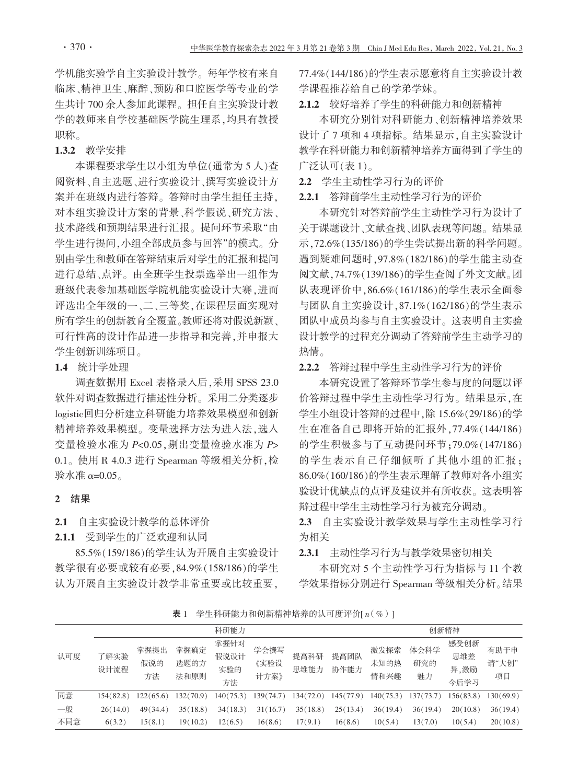学机能实验学自主实验设计教学。每年学校有来自 临床、精神卫生、麻醉、预防和口腔医学等专业的学 生共计 700 余人参加此课程。担任自主实验设计教 学的教师来自学校基础医学院生理系,均具有教授 职称。

## 1.3.2 教学安排

本课程要求学生以小组为单位(通常为5人)杳 阅资料、自主选题、进行实验设计、撰写实验设计方 案并在班级内进行答辩。答辩时由学生担任主持, 对本组实验设计方案的背景、科学假说、研究方法、 技术路线和预期结果进行汇报。提问环节采取"由 学生进行提问,小组全部成员参与回答"的模式。分 别由学生和教师在答辩结束后对学生的汇报和提问 进行总结、点评。由全班学生投票选举出一组作为 班级代表参加基础医学院机能实验设计大赛,进而 评选出全年级的一、二、三等奖,在课程层面实现对 所有学生的创新教育全覆盖。教师还将对假说新颖、 可行性高的设计作品进一步指导和完善,并申报大 学生创新训练项目。

1.4 统计学处理

调查数据用 Excel 表格录入后, 采用 SPSS 23.0 软件对调查数据进行描述性分析。采用二分类逐步 logistic回归分析建立科研能力培养效果模型和创新 精神培养效果模型。变量选择方法为进入法,选入 变量检验水准为 P<0.05,剔出变量检验水准为 P> 0.1。使用 R 4.0.3 进行 Spearman 等级相关分析, 检 验水准  $α=0.05$ 。

#### 2 结果

## 2.1 自主实验设计教学的总体评价

### 2.1.1 受到学生的广泛欢迎和认同

85.5%(159/186)的学生认为开展自主实验设计 教学很有必要或较有必要.84.9%(158/186)的学生 认为开展自主实验设计教学非常重要或比较重要, 77.4%(144/186)的学生表示愿意将自主实验设计教 学课程推荐给自己的学弟学妹。

2.1.2 较好培养了学生的科研能力和创新精神

本研究分别针对科研能力、创新精神培养效果 设计了7项和4项指标。结果显示,自主实验设计 教学在科研能力和创新精神培养方面得到了学生的 广泛认可(表1)。

2.2 学生主动性学习行为的评价

2.2.1 答辩前学生主动性学习行为的评价

本研究针对答辩前学生主动性学习行为设计了 关于课题设计、文献杳找、团队表现等问题。结果显 示, 72.6% (135/186)的学生尝试提出新的科学问题。 遇到疑难问题时, 97.8% (182/186)的学生能主动杳 阅文献, 74.7% (139/186)的学生查阅了外文文献。团 队表现评价中, 86.6% (161/186) 的学生表示全面参 与团队自主实验设计,87.1%(162/186)的学生表示 团队中成员均参与自主实验设计。这表明自主实验 设计教学的过程充分调动了答辩前学生主动学习的 热情。

2.2.2 答辩过程中学生主动性学习行为的评价

本研究设置了答辩环节学生参与度的问题以评 价答辩过程中学生主动性学习行为。结果显示,在 学生小组设计答辩的过程中,除15.6%(29/186)的学 生在准备自己即将开始的汇报外,77.4%(144/186) 的学生积极参与了互动提问环节;79.0%(147/186) 的学生表示自己仔细倾听了其他小组的汇报; 86.0%(160/186)的学生表示理解了教师对各小组实 验设计优缺点的点评及建议并有所收获。这表明答 辩过程中学生主动性学习行为被充分调动。

2.3 自主实验设计教学效果与学生主动性学习行 为相关

2.3.1 主动性学习行为与教学效果密切相关

本研究对 5 个主动性学习行为指标与 11 个教 学效果指标分别进行 Spearman 等级相关分析。结果

表 1 学生科研能力和创新精神培养的认可度评价[n(%)]

|     |              |                   |                      |                           | 创新精神                 |              |              |                      |                   |                             |                     |
|-----|--------------|-------------------|----------------------|---------------------------|----------------------|--------------|--------------|----------------------|-------------------|-----------------------------|---------------------|
| 认可度 | 了解实验<br>设计流程 | 掌握提出<br>假说的<br>方法 | 掌握确定<br>选题的方<br>法和原则 | 掌握针对<br>假说设计<br>实验的<br>方法 | 学会撰写<br>《实验设<br>计方案》 | 提高科研<br>思维能力 | 提高团队<br>协作能力 | 激发探索<br>未知的热<br>情和兴趣 | 体会科学<br>研究的<br>魅力 | 感受创新<br>思维差<br>异,激励<br>今后学习 | 有助于申<br>请"大创"<br>项目 |
| 同意  | 154(82.8)    | 122(65.6)         | 132(70.9)            | 140(75.3)                 | 139(74.7)            | 134(72.0)    | 145(77.9)    | 140(75.3)            | 137(73.7)         | 156(83.8)                   | 130(69.9)           |
| 一般  | 26(14.0)     | 49(34.4)          | 35(18.8)             | 34(18.3)                  | 31(16.7)             | 35(18.8)     | 25(13.4)     | 36(19.4)             | 36(19.4)          | 20(10.8)                    | 36(19.4)            |
| 不同意 | 6(3.2)       | 15(8.1)           | 19(10.2)             | 12(6.5)                   | 16(8.6)              | 17(9.1)      | 16(8.6)      | 10(5.4)              | 13(7.0)           | 10(5.4)                     | 20(10.8)            |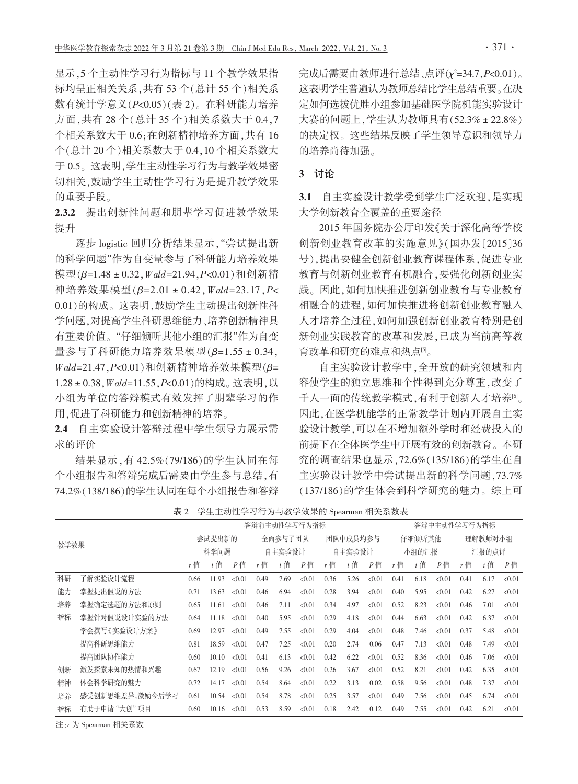显示, 5 个主动性学习行为指标与 11 个教学效果指 标均呈正相关关系, 共有53个(总计55个)相关系 数有统计学意义(P<0.05)(表2)。在科研能力培养 方面,共有28个(总计35个)相关系数大于0.4.7 个相关系数大于0.6;在创新精神培养方面,共有16 个(总计20个)相关系数大于0.4.10个相关系数大 于0.5。这表明,学生主动性学习行为与教学效果密 切相关,鼓励学生主动性学习行为是提升教学效果 的重要手段。

2.3.2 提出创新性问题和朋辈学习促进教学效果 提升

逐步 logistic 回归分析结果显示, "尝试提出新 的科学问题"作为自变量参与了科研能力培养效果 模型(β=1.48 ± 0.32, Wald=21.94, P<0.01)和创新精 神培养效果模型(β=2.01 ± 0.42, Wald=23.17, P< 0.01)的构成。这表明,鼓励学生主动提出创新性科 学问题,对提高学生科研思维能力、培养创新精神具 有重要价值。"仔细倾听其他小组的汇报"作为自变 量参与了科研能力培养效果模型(β=1.55±0.34, Wald=21.47, P<0.01)和创新精神培养效果模型(β= 1.28 ± 0.38, Wald=11.55, P<0.01) 的构成。这表明, 以 小组为单位的答辩模式有效发挥了朋辈学习的作 用,促进了科研能力和创新精神的培养。

2.4 自主实验设计答辩过程中学生领导力展示需 求的评价

结果显示,有 42.5%(79/186)的学生认同在每 个小组报告和答辩完成后需要由学生参与总结,有 74.2%(138/186)的学生认同在每个小组报告和答辩 完成后需要由教师进行总结、点评( $\chi^2$ =34.7,P<0.01)。 这表明学生普遍认为教师总结比学生总结重要。在决 定如何选拔优胜小组参加基础医学院机能实验设计 大赛的问题上,学生认为教师具有(52.3% ± 22.8%) 的决定权。这些结果反映了学生领导意识和领导力 的培养尚待加强。

## 3 讨论

3.1 自主实验设计教学受到学生广泛欢迎,是实现 大学创新教育全覆盖的重要途径

2015年国务院办公厅印发《关于深化高等学校 创新创业教育改革的实施意见》(国办发〔2015〕36 号),提出要健全创新创业教育课程体系,促进专业 教育与创新创业教育有机融合,要强化创新创业实 践。因此,如何加快推进创新创业教育与专业教育 相融合的进程,如何加快推进将创新创业教育融入 人才培养全过程,如何加强创新创业教育特别是创 新创业实践教育的改革和发展,已成为当前高等教 育改革和研究的难点和热点。

自主实验设计教学中,全开放的研究领域和内 容使学生的独立思维和个性得到充分尊重,改变了 千人一面的传统教学模式,有利于创新人才培养<sup>[6</sup>。 因此,在医学机能学的正常教学计划内开展自主实 验设计教学,可以在不增加额外学时和经费投入的 前提下在全体医学生中开展有效的创新教育。本研 究的调查结果也显示, 72.6% (135/186)的学生在自 主实验设计教学中尝试提出新的科学问题,73.7% (137/186)的学生体会到科学研究的魅力。综上可

| 学生主动性学习行为与教学效果的 Spearman 相关系数表<br>表 2 |  |
|---------------------------------------|--|
|---------------------------------------|--|

|      |                 | 答辩前主动性学习行为指标   |       |        |         |        |          |       |       |        | 答辩中主动性学习行为指标 |       |         |      |       |        |
|------|-----------------|----------------|-------|--------|---------|--------|----------|-------|-------|--------|--------------|-------|---------|------|-------|--------|
| 教学效果 |                 | 尝试提出新的<br>科学问题 |       |        | 全面参与了团队 |        | 团队中成员均参与 |       |       | 仔细倾听其他 |              |       | 理解教师对小组 |      |       |        |
|      |                 |                |       | 自主实验设计 |         | 自主实验设计 |          | 小组的汇报 |       | 汇报的点评  |              |       |         |      |       |        |
|      |                 | $r$ 值          | $t$ 值 | P值     | r值      | $t$ 值  | $P$ 值    | r值    | $t$ 值 | P值     | r值           | $t$ 值 | $P$ 值   | r值   | $t$ 值 | $P$ 值  |
| 科研   | 了解实验设计流程        | 0.66           | 11.93 | < 0.01 | 0.49    | 7.69   | < 0.01   | 0.36  | 5.26  | < 0.01 | 0.41         | 6.18  | < 0.01  | 0.41 | 6.17  | < 0.01 |
| 能力   | 掌握提出假说的方法       | 0.71           | 13.63 | < 0.01 | 0.46    | 6.94   | < 0.01   | 0.28  | 3.94  | < 0.01 | 0.40         | 5.95  | < 0.01  | 0.42 | 6.27  | < 0.01 |
| 培养   | 掌握确定选题的方法和原则    | 0.65           | 11.61 | < 0.01 | 0.46    | 7.11   | < 0.01   | 0.34  | 4.97  | < 0.01 | 0.52         | 8.23  | < 0.01  | 0.46 | 7.01  | < 0.01 |
| 指标   | 掌握针对假说设计实验的方法   | 0.64           | 11.18 | < 0.01 | 0.40    | 5.95   | < 0.01   | 0.29  | 4.18  | < 0.01 | 0.44         | 6.63  | < 0.01  | 0.42 | 6.37  | < 0.01 |
|      | 学会撰写《实验设计方案》    | 0.69           | 12.97 | < 0.01 | 0.49    | 7.55   | < 0.01   | 0.29  | 4.04  | < 0.01 | 0.48         | 7.46  | < 0.01  | 0.37 | 5.48  | < 0.01 |
|      | 提高科研思维能力        | 0.81           | 18.59 | < 0.01 | 0.47    | 7.25   | < 0.01   | 0.20  | 2.74  | 0.06   | 0.47         | 7.13  | < 0.01  | 0.48 | 7.49  | < 0.01 |
|      | 提高团队协作能力        | 0.60           | 10.10 | < 0.01 | 0.41    | 6.13   | < 0.01   | 0.42  | 6.22  | < 0.01 | 0.52         | 8.36  | < 0.01  | 0.46 | 7.06  | < 0.01 |
| 创新   | 激发探索未知的热情和兴趣    | 0.67           | 12.19 | < 0.01 | 0.56    | 9.26   | < 0.01   | 0.26  | 3.67  | < 0.01 | 0.52         | 8.21  | < 0.01  | 0.42 | 6.35  | < 0.01 |
| 精神   | 体会科学研究的魅力       | 0.72           | 14.17 | < 0.01 | 0.54    | 8.64   | < 0.01   | 0.22  | 3.13  | 0.02   | 0.58         | 9.56  | < 0.01  | 0.48 | 7.37  | < 0.01 |
| 培养   | 感受创新思维差异,激励今后学习 | 0.61           | 10.54 | < 0.01 | 0.54    | 8.78   | < 0.01   | 0.25  | 3.57  | < 0.01 | 0.49         | 7.56  | < 0.01  | 0.45 | 6.74  | < 0.01 |
| 指标   | 有助于申请"大创"项目     | 0.60           | 10.16 | < 0.01 | 0.53    | 8.59   | < 0.01   | 0.18  | 2.42  | 0.12   | 0.49         | 7.55  | < 0.01  | 0.42 | 6.21  | < 0.01 |

注:r为 Spearman 相关系数